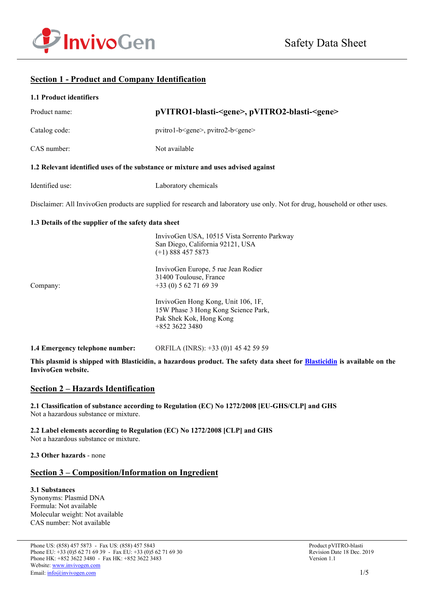

# **Section 1 - Product and Company Identification**

| 1.1 Product identifiers                                                           |                                                                                                                              |
|-----------------------------------------------------------------------------------|------------------------------------------------------------------------------------------------------------------------------|
| Product name:                                                                     | pVITRO1-blasti- <gene>, pVITRO2-blasti-<gene></gene></gene>                                                                  |
| Catalog code:                                                                     | pvitro1-b <gene>, pvitro2-b<gene></gene></gene>                                                                              |
| CAS number:                                                                       | Not available                                                                                                                |
| 1.2 Relevant identified uses of the substance or mixture and uses advised against |                                                                                                                              |
| Identified use:                                                                   | Laboratory chemicals                                                                                                         |
|                                                                                   | Disclaimer: All InvivoGen products are supplied for research and laboratory use only. Not for drug, household or other uses. |
| 1.3 Details of the supplier of the safety data sheet                              |                                                                                                                              |
|                                                                                   | InvivoGen USA, 10515 Vista Sorrento Parkway<br>San Diego, California 92121, USA<br>$(+1)$ 888 457 5873                       |
| Company:                                                                          | InvivoGen Europe, 5 rue Jean Rodier<br>31400 Toulouse, France<br>$+33(0) 562716939$                                          |
|                                                                                   | InvivoGen Hong Kong, Unit 106, 1F,<br>15W Phase 3 Hong Kong Science Park,<br>Pak Shek Kok, Hong Kong<br>+852 3622 3480       |

**1.4 Emergency telephone number:** ORFILA (INRS): +33 (0)1 45 42 59 59

**This plasmid is shipped with Blasticidin, a hazardous product. The safety data sheet for [Blasticidin](https://www.invivogen.com/sites/default/files/invivogen/products/files/blasticidin_solution_sds.pdf) is available on the InvivoGen website.**

### **Section 2 – Hazards Identification**

**2.1 Classification of substance according to Regulation (EC) No 1272/2008 [EU-GHS/CLP] and GHS** Not a hazardous substance or mixture.

**2.2 Label elements according to Regulation (EC) No 1272/2008 [CLP] and GHS** Not a hazardous substance or mixture.

**2.3 Other hazards** - none

# **Section 3 – Composition/Information on Ingredient**

**3.1 Substances** Synonyms: Plasmid DNA Formula: Not available Molecular weight: Not available CAS number: Not available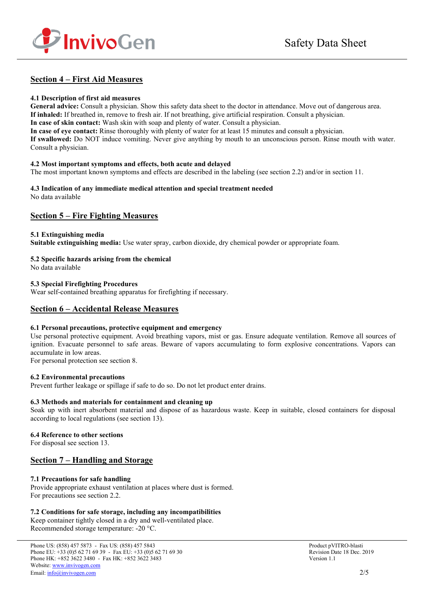

# **Section 4 – First Aid Measures**

#### **4.1 Description of first aid measures**

**General advice:** Consult a physician. Show this safety data sheet to the doctor in attendance. Move out of dangerous area. **If inhaled:** If breathed in, remove to fresh air. If not breathing, give artificial respiration. Consult a physician. **In case of skin contact:** Wash skin with soap and plenty of water. Consult a physician. **In case of eye contact:** Rinse thoroughly with plenty of water for at least 15 minutes and consult a physician.

**If swallowed:** Do NOT induce vomiting. Never give anything by mouth to an unconscious person. Rinse mouth with water. Consult a physician.

#### **4.2 Most important symptoms and effects, both acute and delayed**

The most important known symptoms and effects are described in the labeling (see section 2.2) and/or in section 11.

#### **4.3 Indication of any immediate medical attention and special treatment needed** No data available

# **Section 5 – Fire Fighting Measures**

#### **5.1 Extinguishing media**

**Suitable extinguishing media:** Use water spray, carbon dioxide, dry chemical powder or appropriate foam.

### **5.2 Specific hazards arising from the chemical**

No data available

#### **5.3 Special Firefighting Procedures**

Wear self-contained breathing apparatus for firefighting if necessary.

# **Section 6 – Accidental Release Measures**

#### **6.1 Personal precautions, protective equipment and emergency**

Use personal protective equipment. Avoid breathing vapors, mist or gas. Ensure adequate ventilation. Remove all sources of ignition. Evacuate personnel to safe areas. Beware of vapors accumulating to form explosive concentrations. Vapors can accumulate in low areas.

For personal protection see section 8.

#### **6.2 Environmental precautions**

Prevent further leakage or spillage if safe to do so. Do not let product enter drains.

#### **6.3 Methods and materials for containment and cleaning up**

Soak up with inert absorbent material and dispose of as hazardous waste. Keep in suitable, closed containers for disposal according to local regulations (see section 13).

#### **6.4 Reference to other sections**

For disposal see section 13.

# **Section 7 – Handling and Storage**

### **7.1 Precautions for safe handling**

Provide appropriate exhaust ventilation at places where dust is formed. For precautions see section 2.2.

### **7.2 Conditions for safe storage, including any incompatibilities**

Keep container tightly closed in a dry and well-ventilated place. Recommended storage temperature: -20 °C.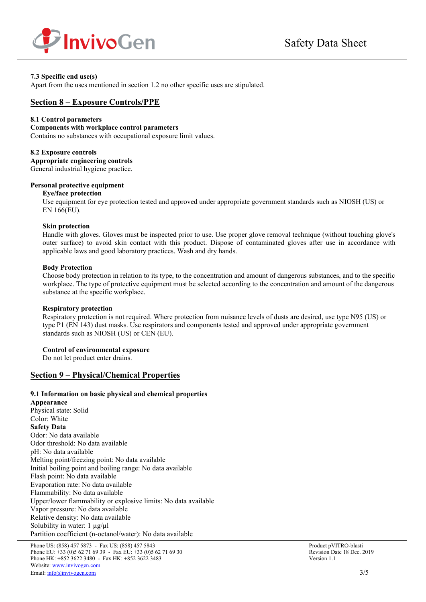

#### **7.3 Specific end use(s)**

Apart from the uses mentioned in section 1.2 no other specific uses are stipulated.

### **Section 8 – Exposure Controls/PPE**

#### **8.1 Control parameters**

#### **Components with workplace control parameters**

Contains no substances with occupational exposure limit values.

#### **8.2 Exposure controls**

**Appropriate engineering controls** General industrial hygiene practice.

#### **Personal protective equipment**

#### **Eye/face protection**

Use equipment for eye protection tested and approved under appropriate government standards such as NIOSH (US) or EN 166(EU).

#### **Skin protection**

Handle with gloves. Gloves must be inspected prior to use. Use proper glove removal technique (without touching glove's outer surface) to avoid skin contact with this product. Dispose of contaminated gloves after use in accordance with applicable laws and good laboratory practices. Wash and dry hands.

#### **Body Protection**

Choose body protection in relation to its type, to the concentration and amount of dangerous substances, and to the specific workplace. The type of protective equipment must be selected according to the concentration and amount of the dangerous substance at the specific workplace.

#### **Respiratory protection**

Respiratory protection is not required. Where protection from nuisance levels of dusts are desired, use type N95 (US) or type P1 (EN 143) dust masks. Use respirators and components tested and approved under appropriate government standards such as NIOSH (US) or CEN (EU).

#### **Control of environmental exposure**

Do not let product enter drains.

### **Section 9 – Physical/Chemical Properties**

#### **9.1 Information on basic physical and chemical properties**

**Appearance** Physical state: Solid Color: White **Safety Data** Odor: No data available Odor threshold: No data available pH: No data available Melting point/freezing point: No data available Initial boiling point and boiling range: No data available Flash point: No data available Evaporation rate: No data available Flammability: No data available Upper/lower flammability or explosive limits: No data available Vapor pressure: No data available Relative density: No data available Solubility in water:  $1 \mu g / \mu l$ Partition coefficient (n-octanol/water): No data available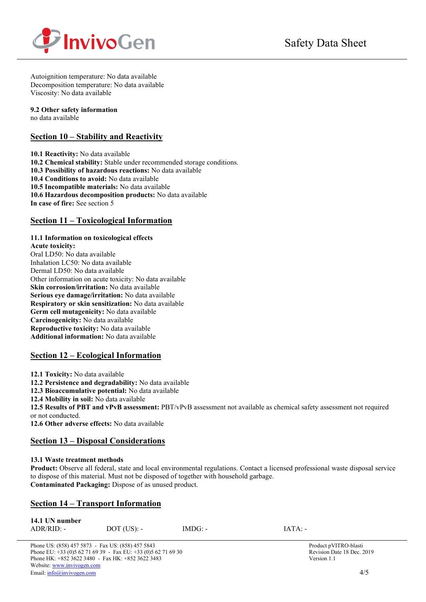

Autoignition temperature: No data available Decomposition temperature: No data available Viscosity: No data available

#### **9.2 Other safety information**

no data available

# **Section 10 – Stability and Reactivity**

**10.1 Reactivity:** No data available **10.2 Chemical stability:** Stable under recommended storage conditions. **10.3 Possibility of hazardous reactions:** No data available **10.4 Conditions to avoid:** No data available **10.5 Incompatible materials:** No data available **10.6 Hazardous decomposition products:** No data available **In case of fire:** See section 5

# **Section 11 – Toxicological Information**

### **11.1 Information on toxicological effects**

**Acute toxicity:** Oral LD50: No data available Inhalation LC50: No data available Dermal LD50: No data available Other information on acute toxicity: No data available **Skin corrosion/irritation:** No data available **Serious eye damage/irritation:** No data available **Respiratory or skin sensitization:** No data available **Germ cell mutagenicity:** No data available **Carcinogenicity:** No data available **Reproductive toxicity:** No data available **Additional information:** No data available

# **Section 12 – Ecological Information**

**12.1 Toxicity:** No data available

**12.2 Persistence and degradability:** No data available

**12.3 Bioaccumulative potential:** No data available

**12.4 Mobility in soil:** No data available

**12.5 Results of PBT and vPvB assessment:** PBT/vPvB assessment not available as chemical safety assessment not required or not conducted.

**12.6 Other adverse effects:** No data available

# **Section 13 – Disposal Considerations**

### **13.1 Waste treatment methods**

**Product:** Observe all federal, state and local environmental regulations. Contact a licensed professional waste disposal service to dispose of this material. Must not be disposed of together with household garbage. **Contaminated Packaging:** Dispose of as unused product.

# **Section 14 – Transport Information**

| 14.1 UN number |               |           |           |
|----------------|---------------|-----------|-----------|
| $ADR/RID: -$   | $DOT$ (US): - | $IMDG: -$ | $IATA: -$ |

Phone US: (858) 457 5873 - Fax US: (858) 457 5843<br>
Phone EU: +33 (0)5 62 71 69 39 - Fax EU: +33 (0)5 62 71 69 30<br>
Revision Date 18 Dec. 2019 Phone EU:  $+33(0)562716939$  - Fax EU:  $+33(0)562716930$ Phone HK: +852 3622 3480 - Fax HK: +852 3622 3483 Version 1.1 Website[: www.invivogen.com](http://www.invivogen.com/) Email[: info@invivogen.com](mailto:info@invivogen.com) 4/5